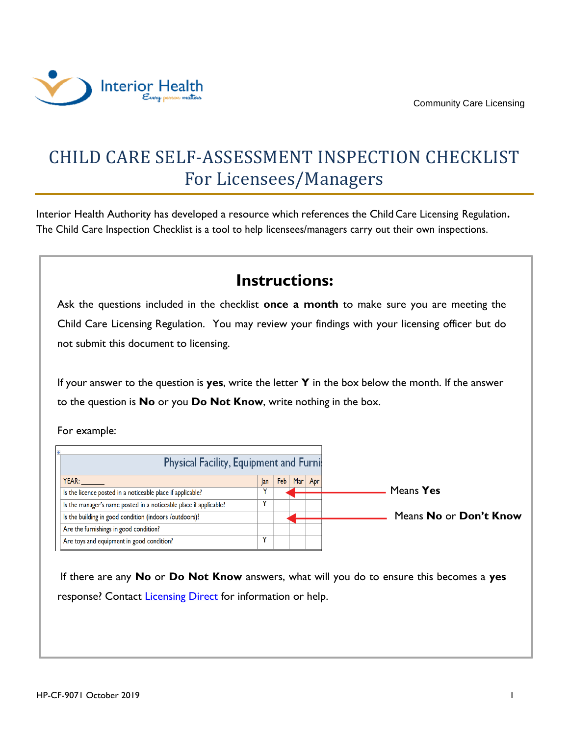

## CHILD CARE SELF-ASSESSMENT INSPECTION CHECKLIST For Licensees/Managers

Interior Health Authority has developed a resource which references the Child Care Licensing Regulation**.** The Child Care Inspection Checklist is a tool to help licensees/managers carry out their own inspections.

## **Instructions:**

Ask the questions included in the checklist **once a month** to make sure you are meeting the Child Care Licensing Regulation. You may review your findings with your licensing officer but do not submit this document to licensing.

If your answer to the question is **yes**, write the letter **Y** in the box below the month. If the answer to the question is **No** or you **Do Not Know**, write nothing in the box.

For example:

| <b>Physical Facility, Equipment and Furnis</b>                    |     |     |         |                        |
|-------------------------------------------------------------------|-----|-----|---------|------------------------|
| YEAR:                                                             | lan | Feb | Mar Apr |                        |
| Is the licence posted in a noticeable place if applicable?        |     |     |         | Means Yes              |
| Is the manager's name posted in a noticeable place if applicable? |     |     |         |                        |
| Is the building in good condition (indoors /outdoors)?            |     |     |         | Means No or Don't Know |
| Are the furnishings in good condition?                            |     |     |         |                        |
| Are toys and equipment in good condition?                         |     |     |         |                        |

If there are any **No** or **Do Not Know** answers, what will you do to ensure this becomes a **yes** response? Contact [Licensing Direct](mailto:licensingdirect@interiorhealth.ca) for information or help.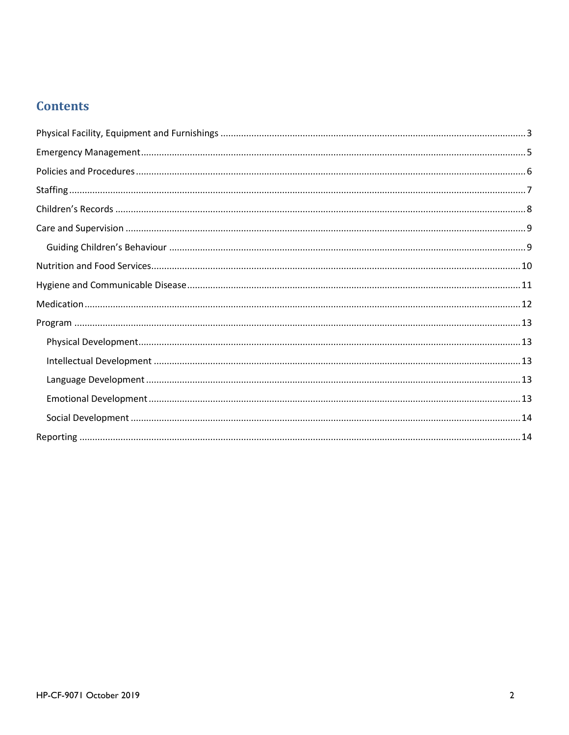## **Contents**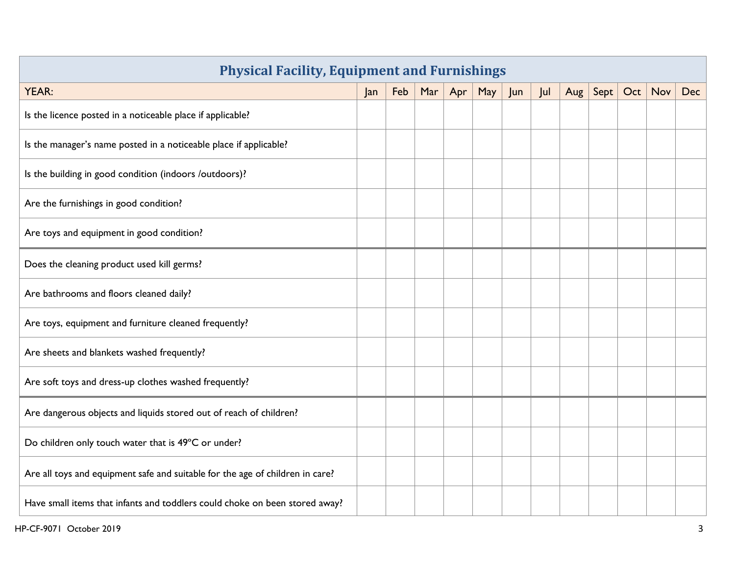<span id="page-2-0"></span>

| <b>Physical Facility, Equipment and Furnishings</b>                           |     |     |     |     |     |     |     |     |      |     |            |     |
|-------------------------------------------------------------------------------|-----|-----|-----|-----|-----|-----|-----|-----|------|-----|------------|-----|
| <b>YEAR:</b>                                                                  | Jan | Feb | Mar | Apr | May | Jun | Jul | Aug | Sept | Oct | <b>Nov</b> | Dec |
| Is the licence posted in a noticeable place if applicable?                    |     |     |     |     |     |     |     |     |      |     |            |     |
| Is the manager's name posted in a noticeable place if applicable?             |     |     |     |     |     |     |     |     |      |     |            |     |
| Is the building in good condition (indoors /outdoors)?                        |     |     |     |     |     |     |     |     |      |     |            |     |
| Are the furnishings in good condition?                                        |     |     |     |     |     |     |     |     |      |     |            |     |
| Are toys and equipment in good condition?                                     |     |     |     |     |     |     |     |     |      |     |            |     |
| Does the cleaning product used kill germs?                                    |     |     |     |     |     |     |     |     |      |     |            |     |
| Are bathrooms and floors cleaned daily?                                       |     |     |     |     |     |     |     |     |      |     |            |     |
| Are toys, equipment and furniture cleaned frequently?                         |     |     |     |     |     |     |     |     |      |     |            |     |
| Are sheets and blankets washed frequently?                                    |     |     |     |     |     |     |     |     |      |     |            |     |
| Are soft toys and dress-up clothes washed frequently?                         |     |     |     |     |     |     |     |     |      |     |            |     |
| Are dangerous objects and liquids stored out of reach of children?            |     |     |     |     |     |     |     |     |      |     |            |     |
| Do children only touch water that is 49°C or under?                           |     |     |     |     |     |     |     |     |      |     |            |     |
| Are all toys and equipment safe and suitable for the age of children in care? |     |     |     |     |     |     |     |     |      |     |            |     |
| Have small items that infants and toddlers could choke on been stored away?   |     |     |     |     |     |     |     |     |      |     |            |     |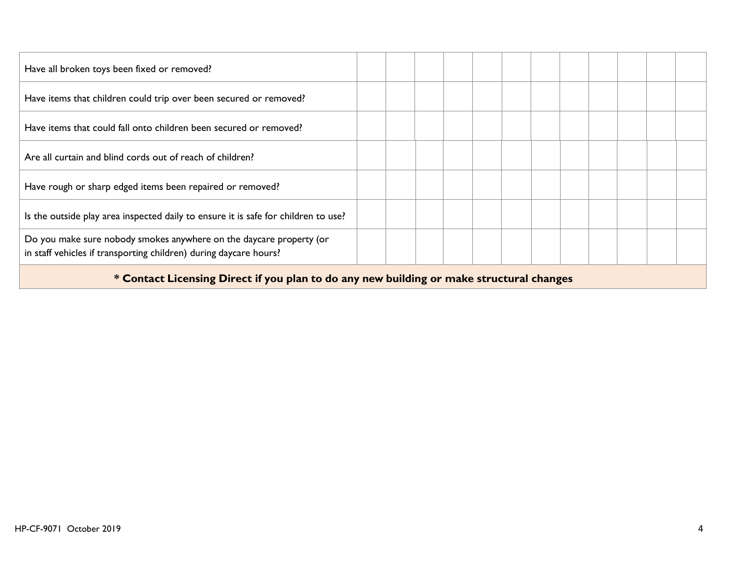| Have all broken toys been fixed or removed?                                                                                              |  |  |  |  |  |  |
|------------------------------------------------------------------------------------------------------------------------------------------|--|--|--|--|--|--|
| Have items that children could trip over been secured or removed?                                                                        |  |  |  |  |  |  |
| Have items that could fall onto children been secured or removed?                                                                        |  |  |  |  |  |  |
| Are all curtain and blind cords out of reach of children?                                                                                |  |  |  |  |  |  |
| Have rough or sharp edged items been repaired or removed?                                                                                |  |  |  |  |  |  |
| Is the outside play area inspected daily to ensure it is safe for children to use?                                                       |  |  |  |  |  |  |
| Do you make sure nobody smokes anywhere on the daycare property (or<br>in staff vehicles if transporting children) during daycare hours? |  |  |  |  |  |  |
| * Contact Licensing Direct if you plan to do any new building or make structural changes                                                 |  |  |  |  |  |  |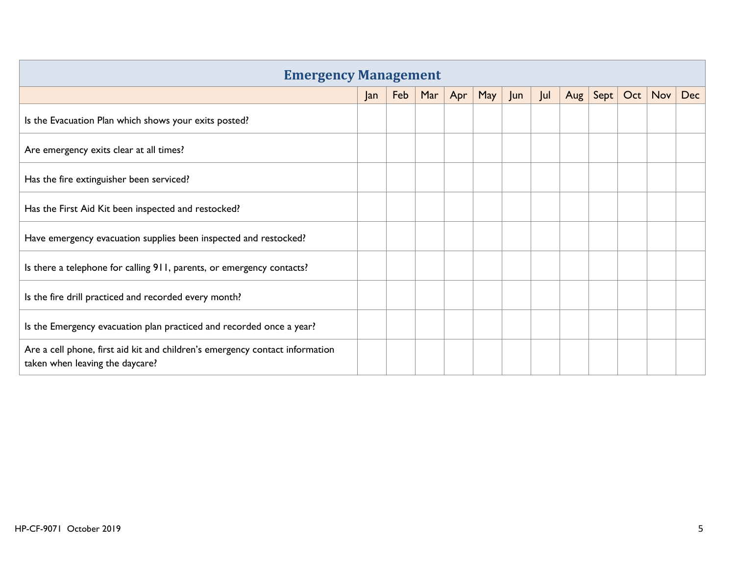<span id="page-4-0"></span>

| <b>Emergency Management</b>                                                                                     |     |     |     |     |     |     |     |         |      |     |     |     |
|-----------------------------------------------------------------------------------------------------------------|-----|-----|-----|-----|-----|-----|-----|---------|------|-----|-----|-----|
|                                                                                                                 | Jan | Feb | Mar | Apr | May | Jun | Jul | Aug $ $ | Sept | Oct | Nov | Dec |
| Is the Evacuation Plan which shows your exits posted?                                                           |     |     |     |     |     |     |     |         |      |     |     |     |
| Are emergency exits clear at all times?                                                                         |     |     |     |     |     |     |     |         |      |     |     |     |
| Has the fire extinguisher been serviced?                                                                        |     |     |     |     |     |     |     |         |      |     |     |     |
| Has the First Aid Kit been inspected and restocked?                                                             |     |     |     |     |     |     |     |         |      |     |     |     |
| Have emergency evacuation supplies been inspected and restocked?                                                |     |     |     |     |     |     |     |         |      |     |     |     |
| Is there a telephone for calling 911, parents, or emergency contacts?                                           |     |     |     |     |     |     |     |         |      |     |     |     |
| Is the fire drill practiced and recorded every month?                                                           |     |     |     |     |     |     |     |         |      |     |     |     |
| Is the Emergency evacuation plan practiced and recorded once a year?                                            |     |     |     |     |     |     |     |         |      |     |     |     |
| Are a cell phone, first aid kit and children's emergency contact information<br>taken when leaving the daycare? |     |     |     |     |     |     |     |         |      |     |     |     |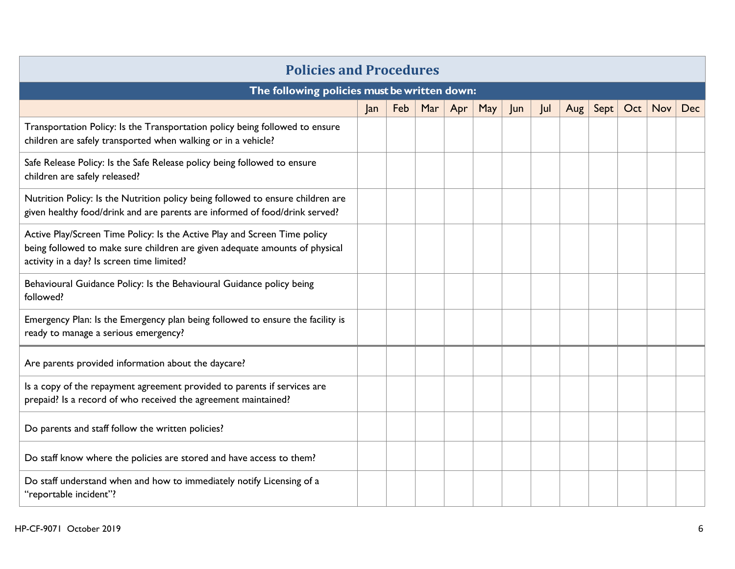<span id="page-5-0"></span>

|                                                                                                                                                                                                        | <b>Policies and Procedures</b> |     |     |     |     |     |     |     |      |     |            |            |
|--------------------------------------------------------------------------------------------------------------------------------------------------------------------------------------------------------|--------------------------------|-----|-----|-----|-----|-----|-----|-----|------|-----|------------|------------|
| The following policies must be written down:                                                                                                                                                           |                                |     |     |     |     |     |     |     |      |     |            |            |
|                                                                                                                                                                                                        | Jan                            | Feb | Mar | Apr | May | Jun | Jul | Aug | Sept | Oct | <b>Nov</b> | <b>Dec</b> |
| Transportation Policy: Is the Transportation policy being followed to ensure<br>children are safely transported when walking or in a vehicle?                                                          |                                |     |     |     |     |     |     |     |      |     |            |            |
| Safe Release Policy: Is the Safe Release policy being followed to ensure<br>children are safely released?                                                                                              |                                |     |     |     |     |     |     |     |      |     |            |            |
| Nutrition Policy: Is the Nutrition policy being followed to ensure children are<br>given healthy food/drink and are parents are informed of food/drink served?                                         |                                |     |     |     |     |     |     |     |      |     |            |            |
| Active Play/Screen Time Policy: Is the Active Play and Screen Time policy<br>being followed to make sure children are given adequate amounts of physical<br>activity in a day? Is screen time limited? |                                |     |     |     |     |     |     |     |      |     |            |            |
| Behavioural Guidance Policy: Is the Behavioural Guidance policy being<br>followed?                                                                                                                     |                                |     |     |     |     |     |     |     |      |     |            |            |
| Emergency Plan: Is the Emergency plan being followed to ensure the facility is<br>ready to manage a serious emergency?                                                                                 |                                |     |     |     |     |     |     |     |      |     |            |            |
| Are parents provided information about the daycare?                                                                                                                                                    |                                |     |     |     |     |     |     |     |      |     |            |            |
| Is a copy of the repayment agreement provided to parents if services are<br>prepaid? Is a record of who received the agreement maintained?                                                             |                                |     |     |     |     |     |     |     |      |     |            |            |
| Do parents and staff follow the written policies?                                                                                                                                                      |                                |     |     |     |     |     |     |     |      |     |            |            |
| Do staff know where the policies are stored and have access to them?                                                                                                                                   |                                |     |     |     |     |     |     |     |      |     |            |            |
| Do staff understand when and how to immediately notify Licensing of a<br>"reportable incident"?                                                                                                        |                                |     |     |     |     |     |     |     |      |     |            |            |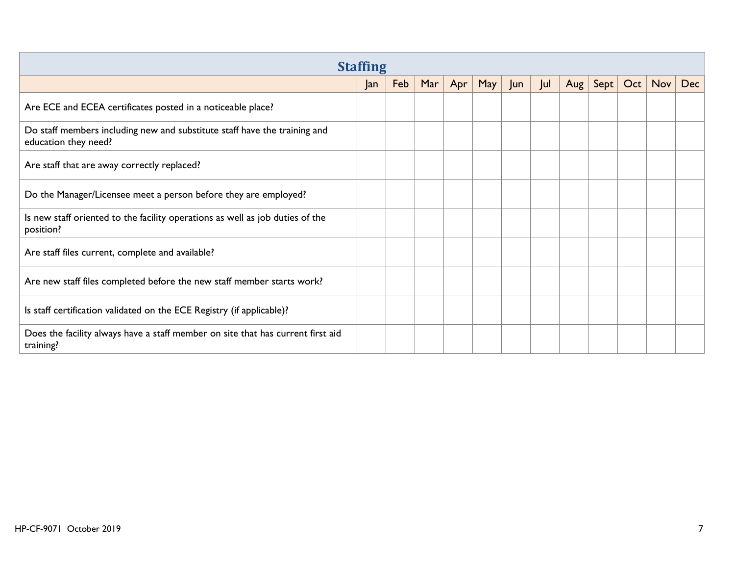<span id="page-6-0"></span>

|                                                                                                   | <b>Staffing</b> |     |     |     |     |    |     |     |      |     |            |     |
|---------------------------------------------------------------------------------------------------|-----------------|-----|-----|-----|-----|----|-----|-----|------|-----|------------|-----|
|                                                                                                   | Jan             | Feb | Mar | Apr | May | un | Jul | Aug | Sept | Oct | $Nov \mid$ | Dec |
| Are ECE and ECEA certificates posted in a noticeable place?                                       |                 |     |     |     |     |    |     |     |      |     |            |     |
| Do staff members including new and substitute staff have the training and<br>education they need? |                 |     |     |     |     |    |     |     |      |     |            |     |
| Are staff that are away correctly replaced?                                                       |                 |     |     |     |     |    |     |     |      |     |            |     |
| Do the Manager/Licensee meet a person before they are employed?                                   |                 |     |     |     |     |    |     |     |      |     |            |     |
| Is new staff oriented to the facility operations as well as job duties of the<br>position?        |                 |     |     |     |     |    |     |     |      |     |            |     |
| Are staff files current, complete and available?                                                  |                 |     |     |     |     |    |     |     |      |     |            |     |
| Are new staff files completed before the new staff member starts work?                            |                 |     |     |     |     |    |     |     |      |     |            |     |
| Is staff certification validated on the ECE Registry (if applicable)?                             |                 |     |     |     |     |    |     |     |      |     |            |     |
| Does the facility always have a staff member on site that has current first aid<br>training?      |                 |     |     |     |     |    |     |     |      |     |            |     |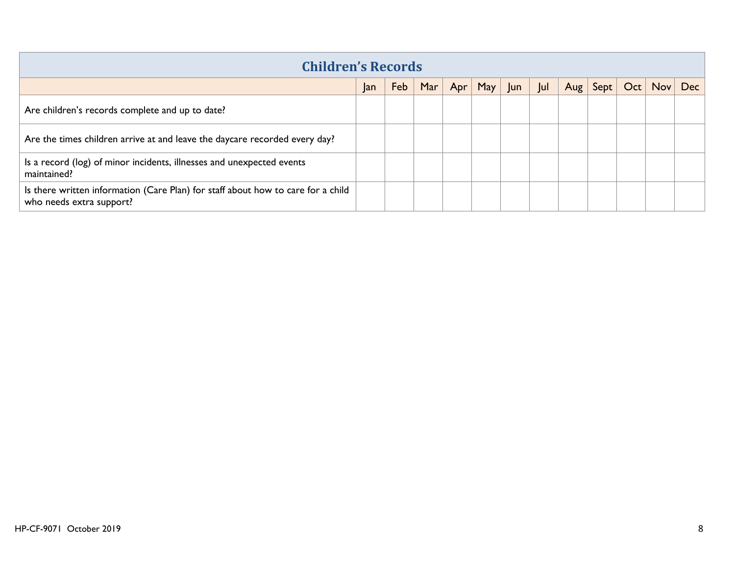<span id="page-7-0"></span>

| <b>Children's Records</b>                                                                                    |    |     |     |     |     |    |     |            |      |     |                  |     |  |
|--------------------------------------------------------------------------------------------------------------|----|-----|-----|-----|-----|----|-----|------------|------|-----|------------------|-----|--|
|                                                                                                              | an | Feb | Mar | Apr | May | un | Jul | $Aug \mid$ | Sept | Oct | Nov <sub>1</sub> | Dec |  |
| Are children's records complete and up to date?                                                              |    |     |     |     |     |    |     |            |      |     |                  |     |  |
| Are the times children arrive at and leave the daycare recorded every day?                                   |    |     |     |     |     |    |     |            |      |     |                  |     |  |
| Is a record (log) of minor incidents, illnesses and unexpected events<br>maintained?                         |    |     |     |     |     |    |     |            |      |     |                  |     |  |
| Is there written information (Care Plan) for staff about how to care for a child<br>who needs extra support? |    |     |     |     |     |    |     |            |      |     |                  |     |  |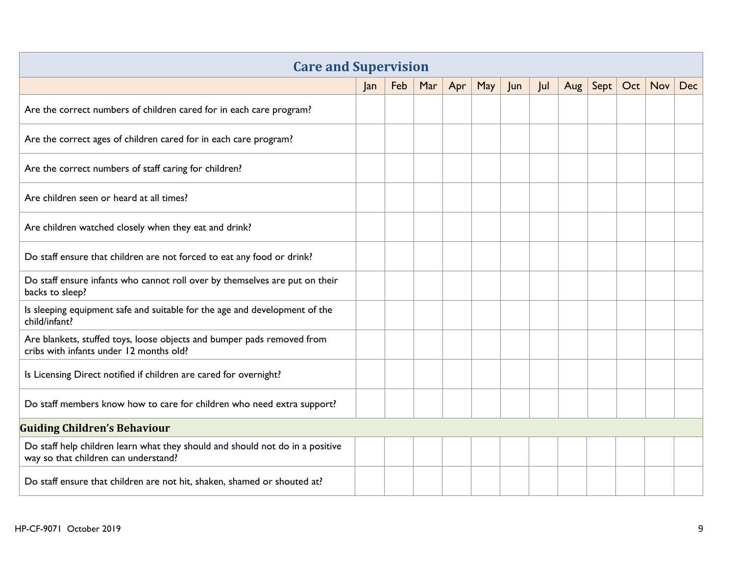<span id="page-8-1"></span><span id="page-8-0"></span>

| <b>Care and Supervision</b>                                                                                           |     |     |     |     |     |     |    |     |      |     |     |            |
|-----------------------------------------------------------------------------------------------------------------------|-----|-----|-----|-----|-----|-----|----|-----|------|-----|-----|------------|
|                                                                                                                       | Jan | Feb | Mar | Apr | May | Jun | ul | Aug | Sept | Oct | Nov | <b>Dec</b> |
| Are the correct numbers of children cared for in each care program?                                                   |     |     |     |     |     |     |    |     |      |     |     |            |
| Are the correct ages of children cared for in each care program?                                                      |     |     |     |     |     |     |    |     |      |     |     |            |
| Are the correct numbers of staff caring for children?                                                                 |     |     |     |     |     |     |    |     |      |     |     |            |
| Are children seen or heard at all times?                                                                              |     |     |     |     |     |     |    |     |      |     |     |            |
| Are children watched closely when they eat and drink?                                                                 |     |     |     |     |     |     |    |     |      |     |     |            |
| Do staff ensure that children are not forced to eat any food or drink?                                                |     |     |     |     |     |     |    |     |      |     |     |            |
| Do staff ensure infants who cannot roll over by themselves are put on their<br>backs to sleep?                        |     |     |     |     |     |     |    |     |      |     |     |            |
| Is sleeping equipment safe and suitable for the age and development of the<br>child/infant?                           |     |     |     |     |     |     |    |     |      |     |     |            |
| Are blankets, stuffed toys, loose objects and bumper pads removed from<br>cribs with infants under 12 months old?     |     |     |     |     |     |     |    |     |      |     |     |            |
| Is Licensing Direct notified if children are cared for overnight?                                                     |     |     |     |     |     |     |    |     |      |     |     |            |
| Do staff members know how to care for children who need extra support?                                                |     |     |     |     |     |     |    |     |      |     |     |            |
| <b>Guiding Children's Behaviour</b>                                                                                   |     |     |     |     |     |     |    |     |      |     |     |            |
| Do staff help children learn what they should and should not do in a positive<br>way so that children can understand? |     |     |     |     |     |     |    |     |      |     |     |            |
| Do staff ensure that children are not hit, shaken, shamed or shouted at?                                              |     |     |     |     |     |     |    |     |      |     |     |            |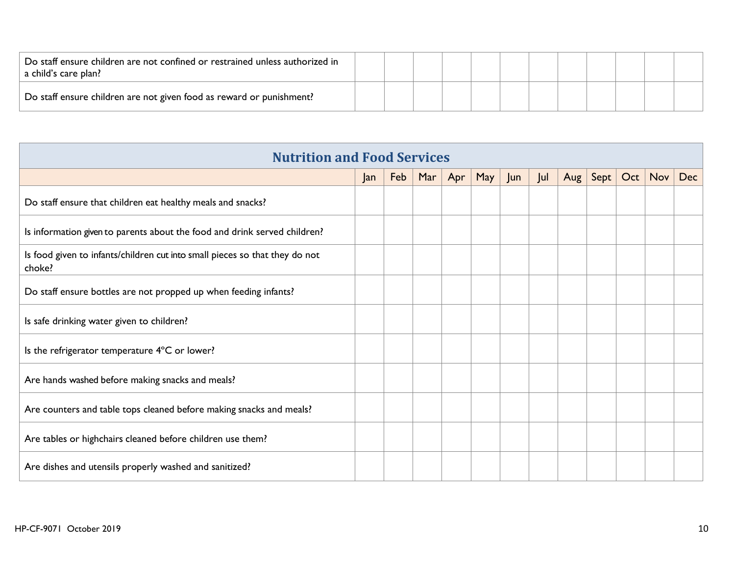| Do staff ensure children are not confined or restrained unless authorized in<br>a child's care plan? |  |  |  |  |  |  |
|------------------------------------------------------------------------------------------------------|--|--|--|--|--|--|
| Do staff ensure children are not given food as reward or punishment?                                 |  |  |  |  |  |  |

<span id="page-9-0"></span>

| <b>Nutrition and Food Services</b>                                                    |     |     |     |     |     |     |     |     |                   |     |     |            |
|---------------------------------------------------------------------------------------|-----|-----|-----|-----|-----|-----|-----|-----|-------------------|-----|-----|------------|
|                                                                                       | Jan | Feb | Mar | Apr | May | Jun | Jul | Aug | $\sqrt{\sqrt{2}}$ | Oct | Nov | <b>Dec</b> |
| Do staff ensure that children eat healthy meals and snacks?                           |     |     |     |     |     |     |     |     |                   |     |     |            |
| Is information given to parents about the food and drink served children?             |     |     |     |     |     |     |     |     |                   |     |     |            |
| Is food given to infants/children cut into small pieces so that they do not<br>choke? |     |     |     |     |     |     |     |     |                   |     |     |            |
| Do staff ensure bottles are not propped up when feeding infants?                      |     |     |     |     |     |     |     |     |                   |     |     |            |
| Is safe drinking water given to children?                                             |     |     |     |     |     |     |     |     |                   |     |     |            |
| Is the refrigerator temperature 4°C or lower?                                         |     |     |     |     |     |     |     |     |                   |     |     |            |
| Are hands washed before making snacks and meals?                                      |     |     |     |     |     |     |     |     |                   |     |     |            |
| Are counters and table tops cleaned before making snacks and meals?                   |     |     |     |     |     |     |     |     |                   |     |     |            |
| Are tables or highchairs cleaned before children use them?                            |     |     |     |     |     |     |     |     |                   |     |     |            |
| Are dishes and utensils properly washed and sanitized?                                |     |     |     |     |     |     |     |     |                   |     |     |            |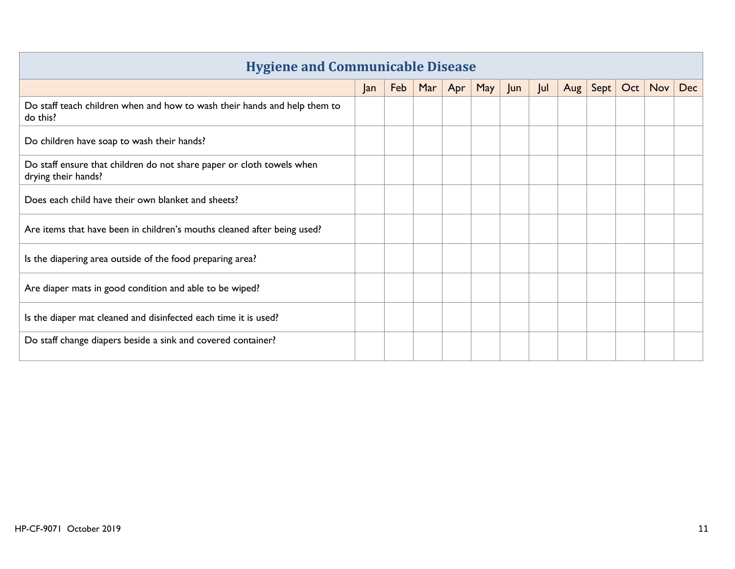<span id="page-10-0"></span>

| <b>Hygiene and Communicable Disease</b>                                                      |     |     |     |     |     |     |     |     |      |     |            |            |
|----------------------------------------------------------------------------------------------|-----|-----|-----|-----|-----|-----|-----|-----|------|-----|------------|------------|
|                                                                                              | Jan | Feb | Mar | Apr | May | Jun | Jul | Aug | Sept | Oct | <b>Nov</b> | <b>Dec</b> |
| Do staff teach children when and how to wash their hands and help them to<br>do this?        |     |     |     |     |     |     |     |     |      |     |            |            |
| Do children have soap to wash their hands?                                                   |     |     |     |     |     |     |     |     |      |     |            |            |
| Do staff ensure that children do not share paper or cloth towels when<br>drying their hands? |     |     |     |     |     |     |     |     |      |     |            |            |
| Does each child have their own blanket and sheets?                                           |     |     |     |     |     |     |     |     |      |     |            |            |
| Are items that have been in children's mouths cleaned after being used?                      |     |     |     |     |     |     |     |     |      |     |            |            |
| Is the diapering area outside of the food preparing area?                                    |     |     |     |     |     |     |     |     |      |     |            |            |
| Are diaper mats in good condition and able to be wiped?                                      |     |     |     |     |     |     |     |     |      |     |            |            |
| Is the diaper mat cleaned and disinfected each time it is used?                              |     |     |     |     |     |     |     |     |      |     |            |            |
| Do staff change diapers beside a sink and covered container?                                 |     |     |     |     |     |     |     |     |      |     |            |            |

## **Hygiene and Communicable Disease**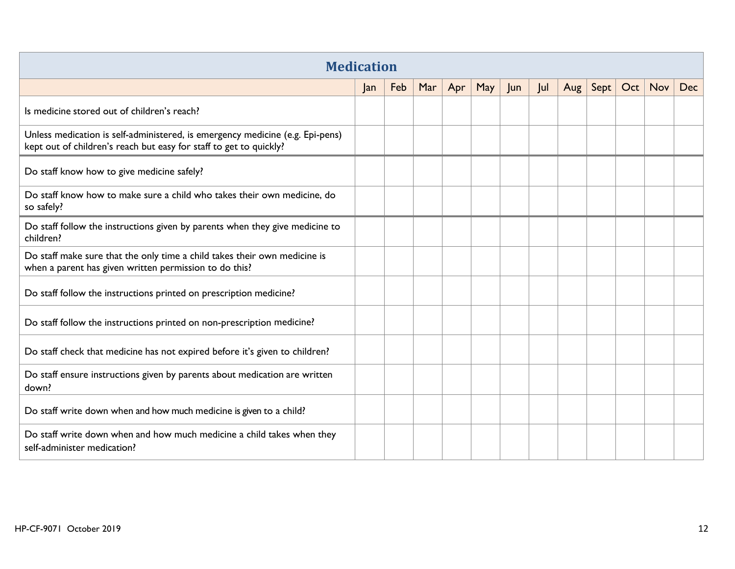<span id="page-11-0"></span>

| <b>Medication</b>                                                                                                                                   |    |     |     |     |     |     |     |         |      |     |     |     |
|-----------------------------------------------------------------------------------------------------------------------------------------------------|----|-----|-----|-----|-----|-----|-----|---------|------|-----|-----|-----|
|                                                                                                                                                     | an | Feb | Mar | Apr | May | Jun | Jul | Aug $ $ | Sept | Oct | Nov | Dec |
| Is medicine stored out of children's reach?                                                                                                         |    |     |     |     |     |     |     |         |      |     |     |     |
| Unless medication is self-administered, is emergency medicine (e.g. Epi-pens)<br>kept out of children's reach but easy for staff to get to quickly? |    |     |     |     |     |     |     |         |      |     |     |     |
| Do staff know how to give medicine safely?                                                                                                          |    |     |     |     |     |     |     |         |      |     |     |     |
| Do staff know how to make sure a child who takes their own medicine, do<br>so safely?                                                               |    |     |     |     |     |     |     |         |      |     |     |     |
| Do staff follow the instructions given by parents when they give medicine to<br>children?                                                           |    |     |     |     |     |     |     |         |      |     |     |     |
| Do staff make sure that the only time a child takes their own medicine is<br>when a parent has given written permission to do this?                 |    |     |     |     |     |     |     |         |      |     |     |     |
| Do staff follow the instructions printed on prescription medicine?                                                                                  |    |     |     |     |     |     |     |         |      |     |     |     |
| Do staff follow the instructions printed on non-prescription medicine?                                                                              |    |     |     |     |     |     |     |         |      |     |     |     |
| Do staff check that medicine has not expired before it's given to children?                                                                         |    |     |     |     |     |     |     |         |      |     |     |     |
| Do staff ensure instructions given by parents about medication are written<br>down?                                                                 |    |     |     |     |     |     |     |         |      |     |     |     |
| Do staff write down when and how much medicine is given to a child?                                                                                 |    |     |     |     |     |     |     |         |      |     |     |     |
| Do staff write down when and how much medicine a child takes when they<br>self-administer medication?                                               |    |     |     |     |     |     |     |         |      |     |     |     |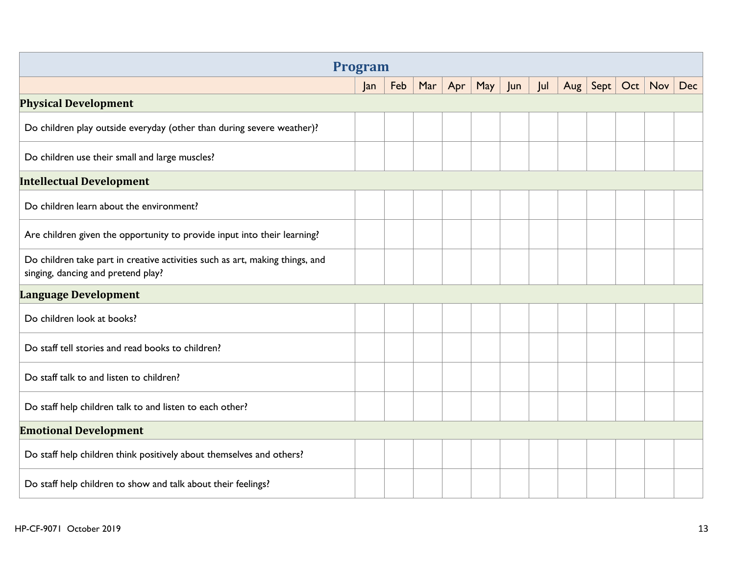<span id="page-12-4"></span><span id="page-12-3"></span><span id="page-12-2"></span><span id="page-12-1"></span><span id="page-12-0"></span>

| <b>Program</b>                                                                                                     |     |     |     |     |     |    |     |     |      |  |           |     |
|--------------------------------------------------------------------------------------------------------------------|-----|-----|-----|-----|-----|----|-----|-----|------|--|-----------|-----|
|                                                                                                                    | Jan | Feb | Mar | Apr | May | un | Jul | Aug | Sept |  | Oct   Nov | Dec |
| <b>Physical Development</b>                                                                                        |     |     |     |     |     |    |     |     |      |  |           |     |
| Do children play outside everyday (other than during severe weather)?                                              |     |     |     |     |     |    |     |     |      |  |           |     |
| Do children use their small and large muscles?                                                                     |     |     |     |     |     |    |     |     |      |  |           |     |
| <b>Intellectual Development</b>                                                                                    |     |     |     |     |     |    |     |     |      |  |           |     |
| Do children learn about the environment?                                                                           |     |     |     |     |     |    |     |     |      |  |           |     |
| Are children given the opportunity to provide input into their learning?                                           |     |     |     |     |     |    |     |     |      |  |           |     |
| Do children take part in creative activities such as art, making things, and<br>singing, dancing and pretend play? |     |     |     |     |     |    |     |     |      |  |           |     |
| <b>Language Development</b>                                                                                        |     |     |     |     |     |    |     |     |      |  |           |     |
| Do children look at books?                                                                                         |     |     |     |     |     |    |     |     |      |  |           |     |
| Do staff tell stories and read books to children?                                                                  |     |     |     |     |     |    |     |     |      |  |           |     |
| Do staff talk to and listen to children?                                                                           |     |     |     |     |     |    |     |     |      |  |           |     |
| Do staff help children talk to and listen to each other?                                                           |     |     |     |     |     |    |     |     |      |  |           |     |
| <b>Emotional Development</b>                                                                                       |     |     |     |     |     |    |     |     |      |  |           |     |
| Do staff help children think positively about themselves and others?                                               |     |     |     |     |     |    |     |     |      |  |           |     |
| Do staff help children to show and talk about their feelings?                                                      |     |     |     |     |     |    |     |     |      |  |           |     |